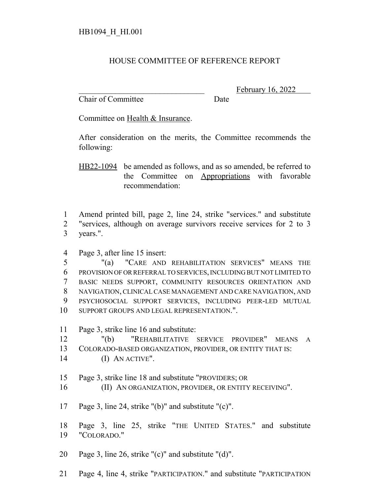## HOUSE COMMITTEE OF REFERENCE REPORT

Chair of Committee Date

February 16, 2022

Committee on Health & Insurance.

After consideration on the merits, the Committee recommends the following:

HB22-1094 be amended as follows, and as so amended, be referred to the Committee on Appropriations with favorable recommendation:

 Amend printed bill, page 2, line 24, strike "services." and substitute "services, although on average survivors receive services for 2 to 3 years.".

- Page 3, after line 15 insert:
- "(a) "CARE AND REHABILITATION SERVICES" MEANS THE PROVISION OF OR REFERRAL TO SERVICES, INCLUDING BUT NOT LIMITED TO BASIC NEEDS SUPPORT, COMMUNITY RESOURCES ORIENTATION AND NAVIGATION, CLINICAL CASE MANAGEMENT AND CARE NAVIGATION, AND PSYCHOSOCIAL SUPPORT SERVICES, INCLUDING PEER-LED MUTUAL SUPPORT GROUPS AND LEGAL REPRESENTATION.".
- Page 3, strike line 16 and substitute:
- "(b) "REHABILITATIVE SERVICE PROVIDER" MEANS A COLORADO-BASED ORGANIZATION, PROVIDER, OR ENTITY THAT IS:
- (I) AN ACTIVE".
- Page 3, strike line 18 and substitute "PROVIDERS; OR
- 16 (II) AN ORGANIZATION, PROVIDER, OR ENTITY RECEIVING".
- Page 3, line 24, strike "(b)" and substitute "(c)".
- Page 3, line 25, strike "THE UNITED STATES." and substitute "COLORADO."
- Page 3, line 26, strike "(c)" and substitute "(d)".
- Page 4, line 4, strike "PARTICIPATION." and substitute "PARTICIPATION